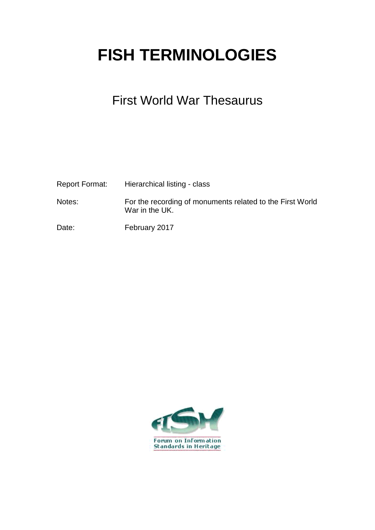## **FISH TERMINOLOGIES**

## First World War Thesaurus

| Report Format: | Hierarchical listing - class                                                |
|----------------|-----------------------------------------------------------------------------|
| Notes:         | For the recording of monuments related to the First World<br>War in the UK. |
| Date:          | February 2017                                                               |

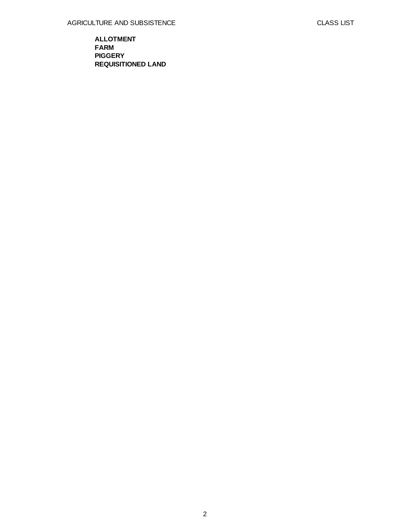**ALLOTMENT FARM PIGGERY REQUISITIONED LAND**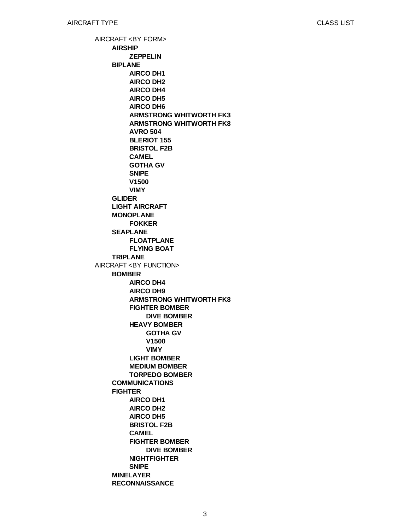AIRCRAFT <BY FORM> AIRCRAFT <BY FUNCTION> **AIRSHIP BIPLANE GLIDER LIGHT AIRCRAFT MONOPLANE SEAPLANE TRIPLANE BOMBER COMMUNICATIONS FIGHTER MINELAYER RECONNAISSANCE ZEPPELIN AIRCO DH1 AIRCO DH2 AIRCO DH4 AIRCO DH5 AIRCO DH6 ARMSTRONG WHITWORTH FK3 ARMSTRONG WHITWORTH FK8 AVRO 504 BLERIOT 155 BRISTOL F2B CAMEL GOTHA GV SNIPE V1500 VIMY FOKKER FLOATPLANE FLYING BOAT AIRCO DH4 AIRCO DH9 ARMSTRONG WHITWORTH FK8 FIGHTER BOMBER HEAVY BOMBER LIGHT BOMBER MEDIUM BOMBER TORPEDO BOMBER AIRCO DH1 AIRCO DH2 AIRCO DH5 BRISTOL F2B CAMEL FIGHTER BOMBER NIGHTFIGHTER SNIPE DIVE BOMBER GOTHA GV V1500 VIMY DIVE BOMBER**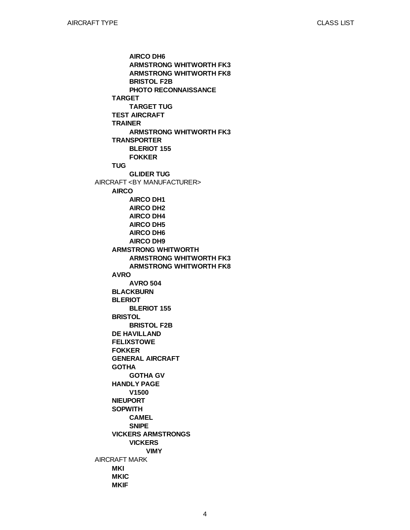AIRCRAFT <BY MANUFACTURER> AIRCRAFT MARK **TARGET TEST AIRCRAFT TRAINER TRANSPORTER TUG AIRCO ARMSTRONG WHITWORTH AVRO BLACKBURN BLERIOT BRISTOL DE HAVILLAND FELIXSTOWE FOKKER GENERAL AIRCRAFT GOTHA HANDLY PAGE NIEUPORT SOPWITH VICKERS ARMSTRONGS MKI MKIC MKIF AIRCO DH6 ARMSTRONG WHITWORTH FK3 ARMSTRONG WHITWORTH FK8 BRISTOL F2B PHOTO RECONNAISSANCE TARGET TUG ARMSTRONG WHITWORTH FK3 BLERIOT 155 FOKKER GLIDER TUG AIRCO DH1 AIRCO DH2 AIRCO DH4 AIRCO DH5 AIRCO DH6 AIRCO DH9 ARMSTRONG WHITWORTH FK3 ARMSTRONG WHITWORTH FK8 AVRO 504 BLERIOT 155 BRISTOL F2B GOTHA GV V1500 CAMEL SNIPE VICKERS VIMY**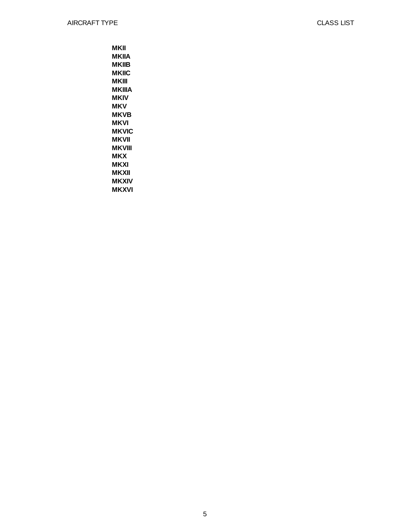**MKII MKIIA MKIIB MKIIC MKIII MKIIIA MKIV MKV MKVB MKVI MKVIC MKVII MKVIII MKX MKXI MKXII MKXIV**

**MKXVI**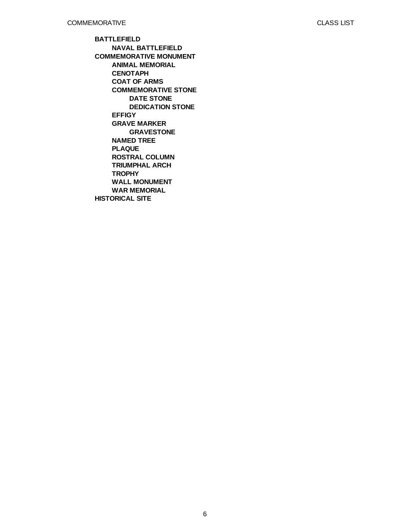**BATTLEFIELD COMMEMORATIVE MONUMENT HISTORICAL SITE NAVAL BATTLEFIELD ANIMAL MEMORIAL CENOTAPH COAT OF ARMS COMMEMORATIVE STONE EFFIGY GRAVE MARKER NAMED TREE PLAQUE ROSTRAL COLUMN TRIUMPHAL ARCH TROPHY WALL MONUMENT WAR MEMORIAL DATE STONE DEDICATION STONE GRAVESTONE**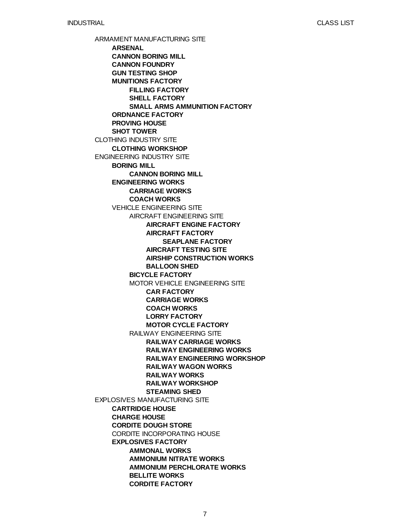ARMAMENT MANUFACTURING SITE CLOTHING INDUSTRY SITE ENGINEERING INDUSTRY SITE EXPLOSIVES MANUFACTURING SITE **ARSENAL CANNON BORING MILL CANNON FOUNDRY GUN TESTING SHOP MUNITIONS FACTORY ORDNANCE FACTORY PROVING HOUSE SHOT TOWER CLOTHING WORKSHOP BORING MILL ENGINEERING WORKS** VEHICLE ENGINEERING SITE **CARTRIDGE HOUSE CHARGE HOUSE CORDITE DOUGH STORE** CORDITE INCORPORATING HOUSE **EXPLOSIVES FACTORY FILLING FACTORY SHELL FACTORY SMALL ARMS AMMUNITION FACTORY CANNON BORING MILL CARRIAGE WORKS COACH WORKS** AIRCRAFT ENGINEERING SITE **BICYCLE FACTORY** MOTOR VEHICLE ENGINEERING SITE RAILWAY ENGINEERING SITE **AMMONAL WORKS AMMONIUM NITRATE WORKS AMMONIUM PERCHLORATE WORKS BELLITE WORKS CORDITE FACTORY AIRCRAFT ENGINE FACTORY AIRCRAFT FACTORY AIRCRAFT TESTING SITE AIRSHIP CONSTRUCTION WORKS BALLOON SHED CAR FACTORY CARRIAGE WORKS COACH WORKS LORRY FACTORY MOTOR CYCLE FACTORY RAILWAY CARRIAGE WORKS RAILWAY ENGINEERING WORKS RAILWAY ENGINEERING WORKSHOP RAILWAY WAGON WORKS RAILWAY WORKS RAILWAY WORKSHOP STEAMING SHED SEAPLANE FACTORY**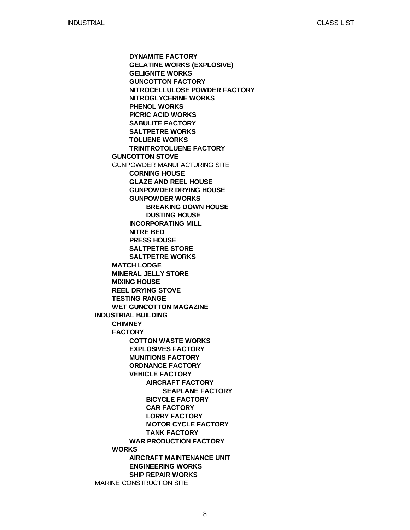**INDUSTRIAL BUILDING** MARINE CONSTRUCTION SITE **GUNCOTTON STOVE** GUNPOWDER MANUFACTURING SITE **MATCH LODGE MINERAL JELLY STORE MIXING HOUSE REEL DRYING STOVE TESTING RANGE WET GUNCOTTON MAGAZINE CHIMNEY FACTORY WORKS DYNAMITE FACTORY GELATINE WORKS (EXPLOSIVE) GELIGNITE WORKS GUNCOTTON FACTORY NITROCELLULOSE POWDER FACTORY NITROGLYCERINE WORKS PHENOL WORKS PICRIC ACID WORKS SABULITE FACTORY SALTPETRE WORKS TOLUENE WORKS TRINITROTOLUENE FACTORY CORNING HOUSE GLAZE AND REEL HOUSE GUNPOWDER DRYING HOUSE GUNPOWDER WORKS INCORPORATING MILL NITRE BED PRESS HOUSE SALTPETRE STORE SALTPETRE WORKS COTTON WASTE WORKS EXPLOSIVES FACTORY MUNITIONS FACTORY ORDNANCE FACTORY VEHICLE FACTORY WAR PRODUCTION FACTORY AIRCRAFT MAINTENANCE UNIT ENGINEERING WORKS SHIP REPAIR WORKS BREAKING DOWN HOUSE DUSTING HOUSE AIRCRAFT FACTORY BICYCLE FACTORY CAR FACTORY LORRY FACTORY MOTOR CYCLE FACTORY TANK FACTORY SEAPLANE FACTORY**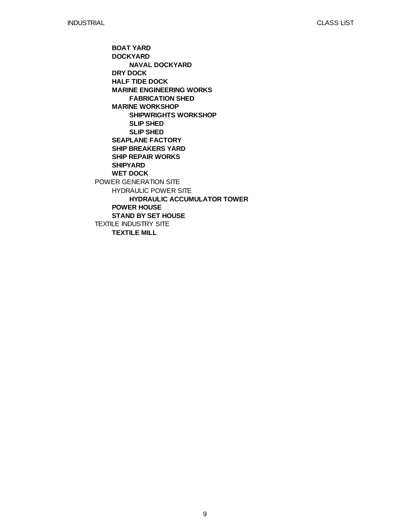POWER GENERATION SITE TEXTILE INDUSTRY SITE **BOAT YARD DOCKYARD DRY DOCK HALF TIDE DOCK MARINE ENGINEERING WORKS MARINE WORKSHOP SEAPLANE FACTORY SHIP BREAKERS YARD SHIP REPAIR WORKS SHIPYARD WET DOCK** HYDRAULIC POWER SITE **POWER HOUSE STAND BY SET HOUSE TEXTILE MILL NAVAL DOCKYARD FABRICATION SHED SHIPWRIGHTS WORKSHOP SLIP SHED SLIP SHED HYDRAULIC ACCUMULATOR TOWER**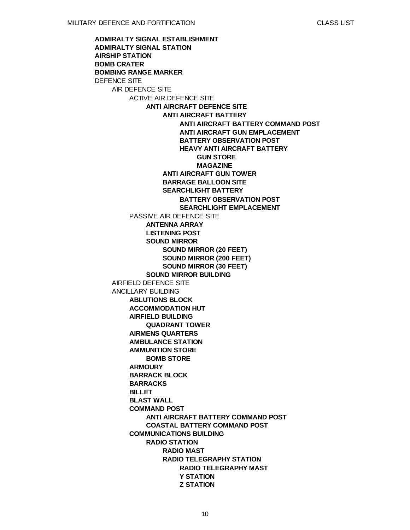**ADMIRALTY SIGNAL ESTABLISHMENT**

**ADMIRALTY SIGNAL STATION AIRSHIP STATION BOMB CRATER BOMBING RANGE MARKER** DEFENCE SITE AIR DEFENCE SITE AIRFIELD DEFENCE SITE ANCILLARY BUILDING ACTIVE AIR DEFENCE SITE PASSIVE AIR DEFENCE SITE **ABLUTIONS BLOCK ACCOMMODATION HUT AIRFIELD BUILDING AIRMENS QUARTERS AMBULANCE STATION AMMUNITION STORE ARMOURY BARRACK BLOCK BARRACKS BILLET BLAST WALL COMMAND POST COMMUNICATIONS BUILDING ANTI AIRCRAFT DEFENCE SITE ANTENNA ARRAY LISTENING POST SOUND MIRROR SOUND MIRROR BUILDING QUADRANT TOWER BOMB STORE ANTI AIRCRAFT BATTERY COMMAND POST COASTAL BATTERY COMMAND POST RADIO STATION ANTI AIRCRAFT BATTERY ANTI AIRCRAFT GUN TOWER BARRAGE BALLOON SITE SEARCHLIGHT BATTERY SOUND MIRROR (20 FEET) SOUND MIRROR (200 FEET) SOUND MIRROR (30 FEET) RADIO MAST RADIO TELEGRAPHY STATION ANTI AIRCRAFT BATTERY COMMAND POST ANTI AIRCRAFT GUN EMPLACEMENT BATTERY OBSERVATION POST HEAVY ANTI AIRCRAFT BATTERY BATTERY OBSERVATION POST SEARCHLIGHT EMPLACEMENT RADIO TELEGRAPHY MAST Y STATION Z STATION GUN STORE MAGAZINE**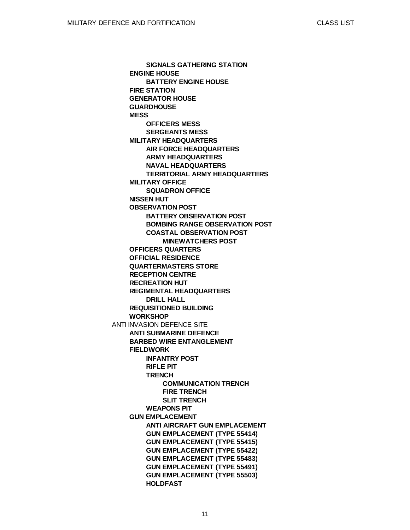ANTI INVASION DEFENCE SITE **ENGINE HOUSE FIRE STATION GENERATOR HOUSE GUARDHOUSE MESS MILITARY HEADQUARTERS MILITARY OFFICE NISSEN HUT OBSERVATION POST OFFICERS QUARTERS OFFICIAL RESIDENCE QUARTERMASTERS STORE RECEPTION CENTRE RECREATION HUT REGIMENTAL HEADQUARTERS REQUISITIONED BUILDING WORKSHOP ANTI SUBMARINE DEFENCE BARBED WIRE ENTANGLEMENT FIELDWORK GUN EMPLACEMENT SIGNALS GATHERING STATION BATTERY ENGINE HOUSE OFFICERS MESS SERGEANTS MESS AIR FORCE HEADQUARTERS ARMY HEADQUARTERS NAVAL HEADQUARTERS TERRITORIAL ARMY HEADQUARTERS SQUADRON OFFICE BATTERY OBSERVATION POST BOMBING RANGE OBSERVATION POST COASTAL OBSERVATION POST DRILL HALL INFANTRY POST RIFLE PIT TRENCH WEAPONS PIT ANTI AIRCRAFT GUN EMPLACEMENT GUN EMPLACEMENT (TYPE 55414) GUN EMPLACEMENT (TYPE 55415) GUN EMPLACEMENT (TYPE 55422) GUN EMPLACEMENT (TYPE 55483) GUN EMPLACEMENT (TYPE 55491) GUN EMPLACEMENT (TYPE 55503) HOLDFAST MINEWATCHERS POST COMMUNICATION TRENCH FIRE TRENCH SLIT TRENCH**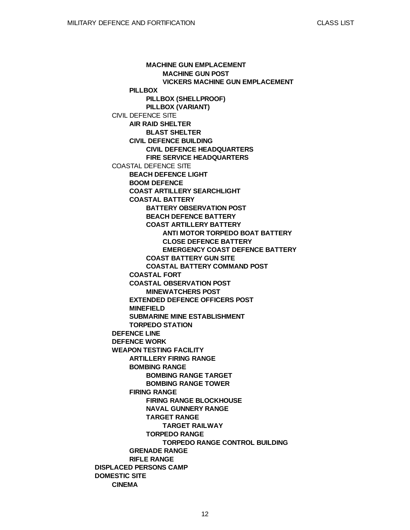**DISPLACED PERSONS CAMP DOMESTIC SITE** CIVIL DEFENCE SITE COASTAL DEFENCE SITE **DEFENCE LINE DEFENCE WORK WEAPON TESTING FACILITY CINEMA PILLBOX AIR RAID SHELTER CIVIL DEFENCE BUILDING BEACH DEFENCE LIGHT BOOM DEFENCE COAST ARTILLERY SEARCHLIGHT COASTAL BATTERY COASTAL FORT COASTAL OBSERVATION POST EXTENDED DEFENCE OFFICERS POST MINEFIELD SUBMARINE MINE ESTABLISHMENT TORPEDO STATION ARTILLERY FIRING RANGE BOMBING RANGE FIRING RANGE GRENADE RANGE RIFLE RANGE MACHINE GUN EMPLACEMENT PILLBOX (SHELLPROOF) PILLBOX (VARIANT) BLAST SHELTER CIVIL DEFENCE HEADQUARTERS FIRE SERVICE HEADQUARTERS BATTERY OBSERVATION POST BEACH DEFENCE BATTERY COAST ARTILLERY BATTERY COAST BATTERY GUN SITE COASTAL BATTERY COMMAND POST MINEWATCHERS POST BOMBING RANGE TARGET BOMBING RANGE TOWER FIRING RANGE BLOCKHOUSE NAVAL GUNNERY RANGE TARGET RANGE TORPEDO RANGE MACHINE GUN POST VICKERS MACHINE GUN EMPLACEMENT ANTI MOTOR TORPEDO BOAT BATTERY CLOSE DEFENCE BATTERY EMERGENCY COAST DEFENCE BATTERY TARGET RAILWAY TORPEDO RANGE CONTROL BUILDING**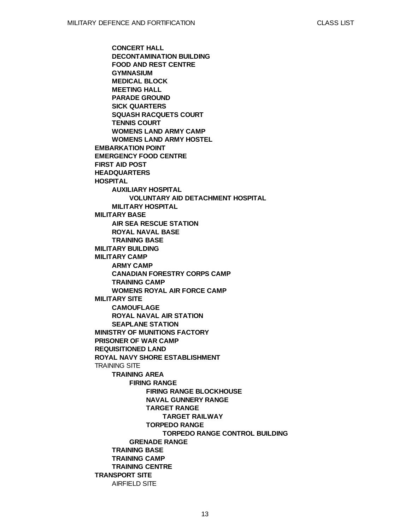**EMBARKATION POINT EMERGENCY FOOD CENTRE FIRST AID POST HEADQUARTERS HOSPITAL MILITARY BASE MILITARY BUILDING MILITARY CAMP MILITARY SITE MINISTRY OF MUNITIONS FACTORY PRISONER OF WAR CAMP REQUISITIONED LAND ROYAL NAVY SHORE ESTABLISHMENT** TRAINING SITE **TRANSPORT SITE CONCERT HALL DECONTAMINATION BUILDING FOOD AND REST CENTRE GYMNASIUM MEDICAL BLOCK MEETING HALL PARADE GROUND SICK QUARTERS SQUASH RACQUETS COURT TENNIS COURT WOMENS LAND ARMY CAMP WOMENS LAND ARMY HOSTEL AUXILIARY HOSPITAL MILITARY HOSPITAL AIR SEA RESCUE STATION ROYAL NAVAL BASE TRAINING BASE ARMY CAMP CANADIAN FORESTRY CORPS CAMP TRAINING CAMP WOMENS ROYAL AIR FORCE CAMP CAMOUFLAGE ROYAL NAVAL AIR STATION SEAPLANE STATION TRAINING AREA TRAINING BASE TRAINING CAMP TRAINING CENTRE** AIRFIELD SITE **VOLUNTARY AID DETACHMENT HOSPITAL FIRING RANGE GRENADE RANGE FIRING RANGE BLOCKHOUSE NAVAL GUNNERY RANGE TARGET RANGE TORPEDO RANGE TARGET RAILWAY TORPEDO RANGE CONTROL BUILDING**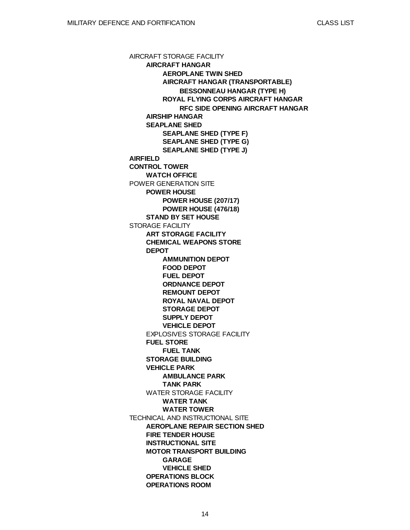AIRCRAFT STORAGE FACILITY **AIRFIELD CONTROL TOWER** POWER GENERATION SITE STORAGE FACILITY TECHNICAL AND INSTRUCTIONAL SITE **AIRCRAFT HANGAR AIRSHIP HANGAR SEAPLANE SHED WATCH OFFICE POWER HOUSE STAND BY SET HOUSE ART STORAGE FACILITY CHEMICAL WEAPONS STORE DEPOT** EXPLOSIVES STORAGE FACILITY **FUEL STORE STORAGE BUILDING VEHICLE PARK** WATER STORAGE FACILITY **AEROPLANE REPAIR SECTION SHED FIRE TENDER HOUSE INSTRUCTIONAL SITE MOTOR TRANSPORT BUILDING OPERATIONS BLOCK OPERATIONS ROOM AEROPLANE TWIN SHED AIRCRAFT HANGAR (TRANSPORTABLE) ROYAL FLYING CORPS AIRCRAFT HANGAR SEAPLANE SHED (TYPE F) SEAPLANE SHED (TYPE G) SEAPLANE SHED (TYPE J) POWER HOUSE (207/17) POWER HOUSE (476/18) AMMUNITION DEPOT FOOD DEPOT FUEL DEPOT ORDNANCE DEPOT REMOUNT DEPOT ROYAL NAVAL DEPOT STORAGE DEPOT SUPPLY DEPOT VEHICLE DEPOT FUEL TANK AMBULANCE PARK TANK PARK WATER TANK WATER TOWER GARAGE VEHICLE SHED BESSONNEAU HANGAR (TYPE H) RFC SIDE OPENING AIRCRAFT HANGAR**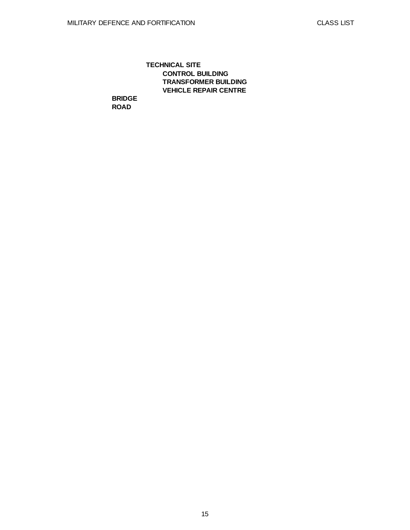## **TECHNICAL SITE CONTROL BUILDING TRANSFORMER BUILDING VEHICLE REPAIR CENTRE**

**BRIDGE ROAD**